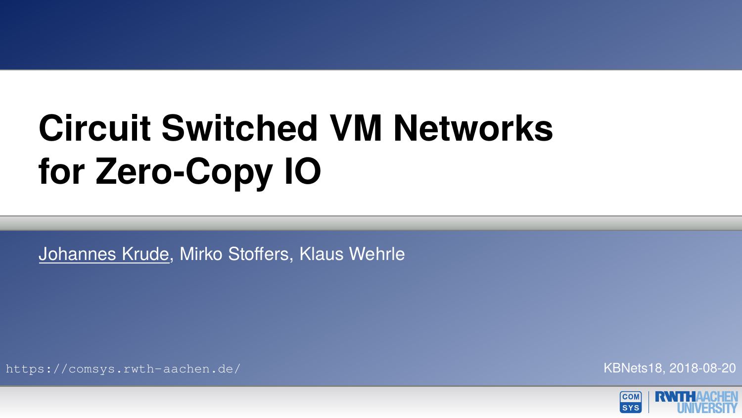# **Circuit Switched VM Networks for Zero-Copy IO**

Johannes Krude, Mirko Stoffers, Klaus Wehrle

<https://comsys.rwth-aachen.de/> KBNets18, 2018-08-20

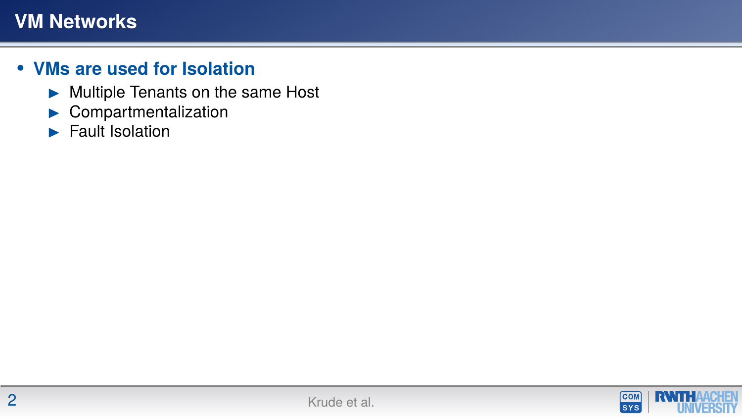- $\blacktriangleright$  Multiple Tenants on the same Host
- $\blacktriangleright$  Compartmentalization
- $\blacktriangleright$  Fault Isolation

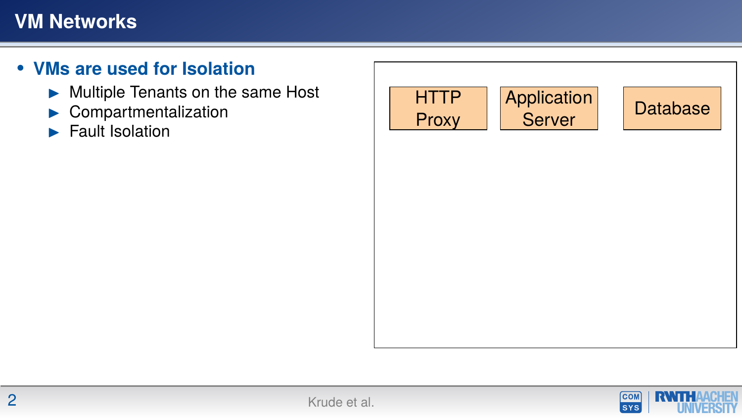- $\blacktriangleright$  Multiple Tenants on the same Host
- $\blacktriangleright$  Compartmentalization
- $\blacktriangleright$  Fault Isolation



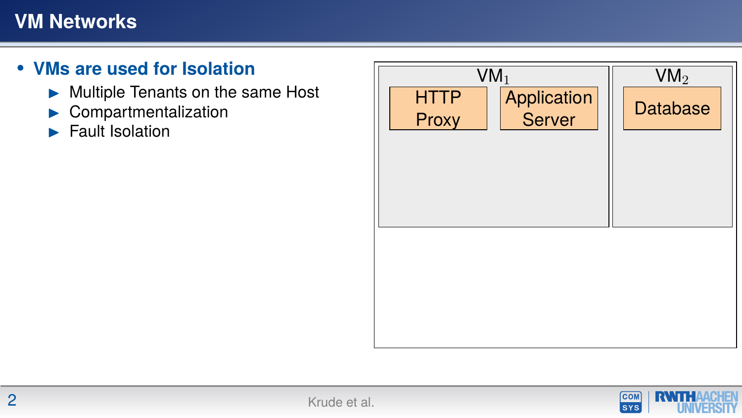- $\blacktriangleright$  Multiple Tenants on the same Host
- $\blacktriangleright$  Compartmentalization
- $\blacktriangleright$  Fault Isolation



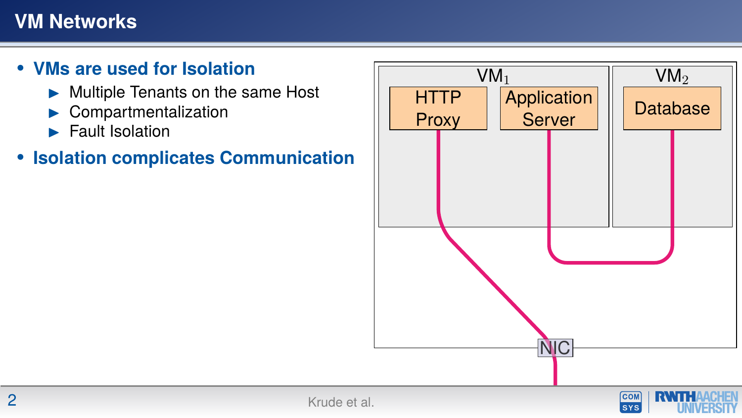#### **• VMs are used for Isolation**

- $\blacktriangleright$  Multiple Tenants on the same Host
- **Compartmentalization**
- $\blacktriangleright$  Fault Isolation

#### **• Isolation complicates Communication**



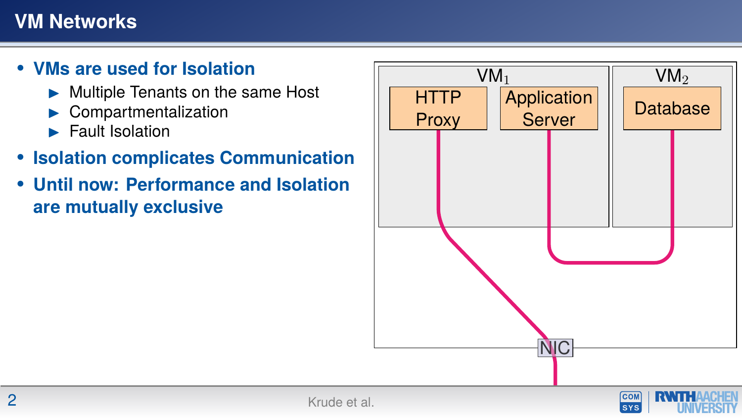- $\blacktriangleright$  Multiple Tenants on the same Host
- **Compartmentalization**
- $\blacktriangleright$  Fault Isolation
- **• Isolation complicates Communication**
- **• Until now: Performance and Isolation are mutually exclusive**



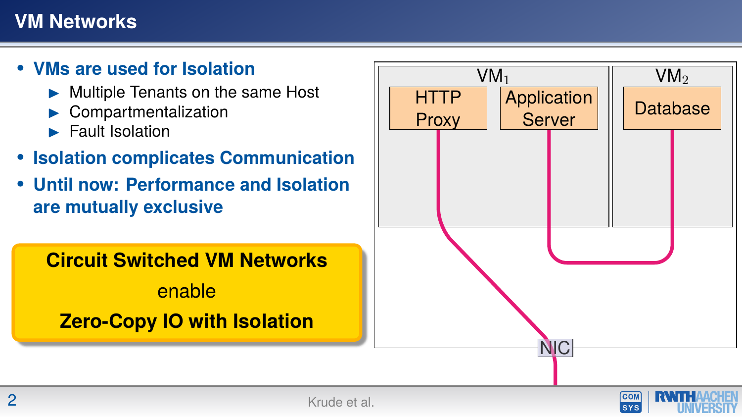#### **• VMs are used for Isolation**

- Multiple Tenants on the same Host
- **Compartmentalization**
- $\blacktriangleright$  Fault Isolation
- **• Isolation complicates Communication**
- **• Until now: Performance and Isolation are mutually exclusive**

**Circuit Switched VM Networks**

enable **Zero-Copy IO with Isolation**



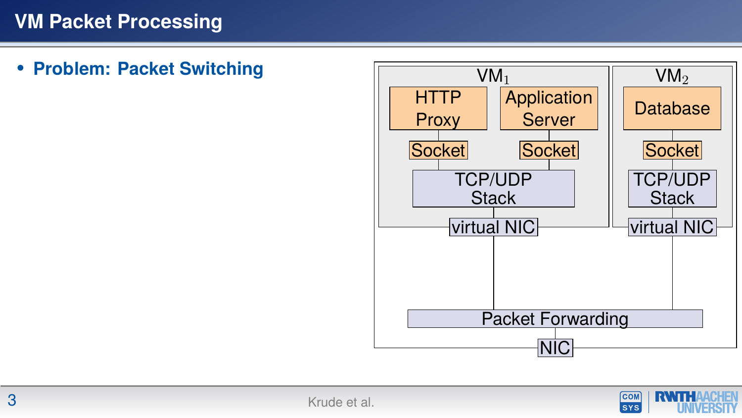**• Problem: Packet Switching**



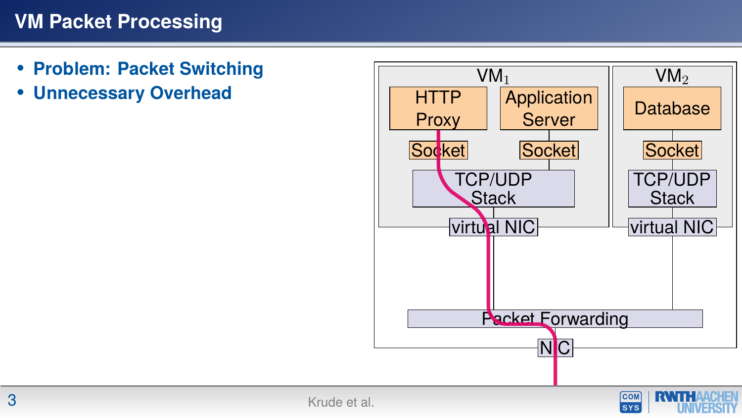- **• Problem: Packet Switching**
- **• Unnecessary Overhead**



**SYS**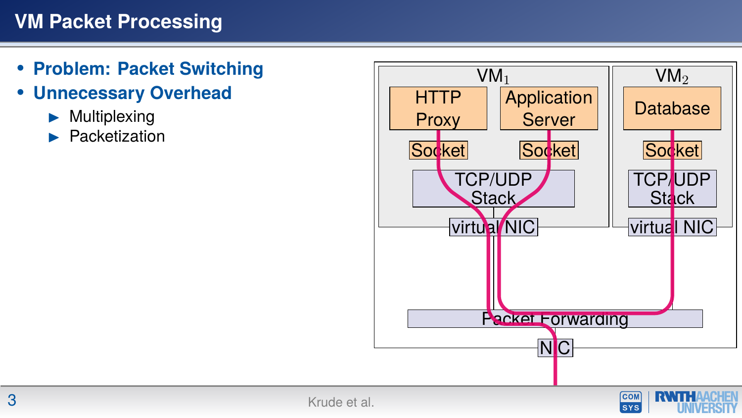- **• Problem: Packet Switching**
- **• Unnecessary Overhead**
	- **Multiplexing**
	- **Packetization**



**SYS**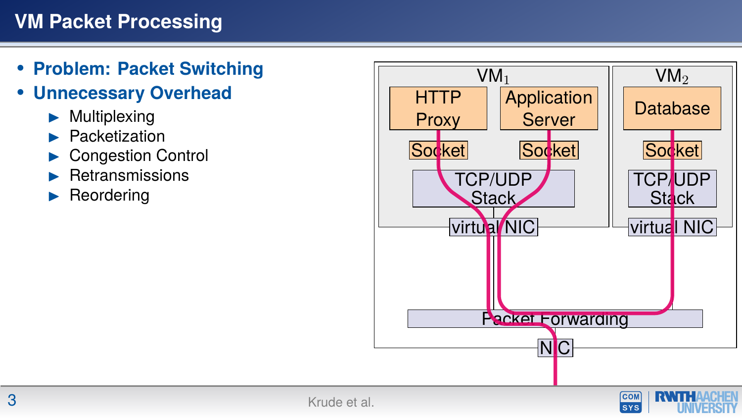- **• Problem: Packet Switching**
- **• Unnecessary Overhead**
	- **Multiplexing**
	- **Packetization**
	- **Congestion Control**
	- **Retransmissions**
	- **Reordering**



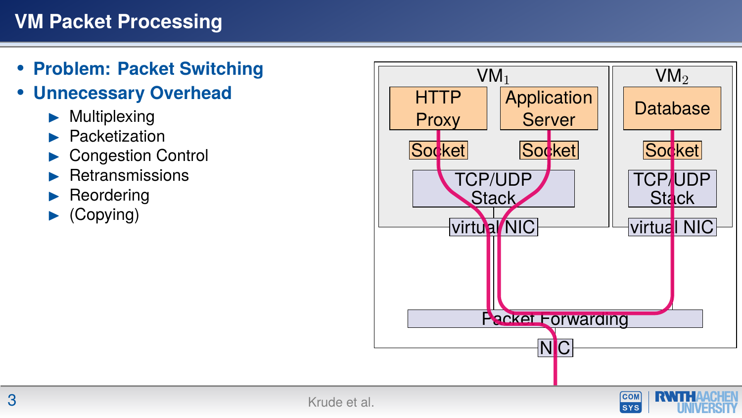- **• Problem: Packet Switching**
- **• Unnecessary Overhead**
	- **Multiplexing**
	- **Packetization**
	- **Congestion Control**
	- **Retransmissions**
	- **Reordering**
	- (Copying)



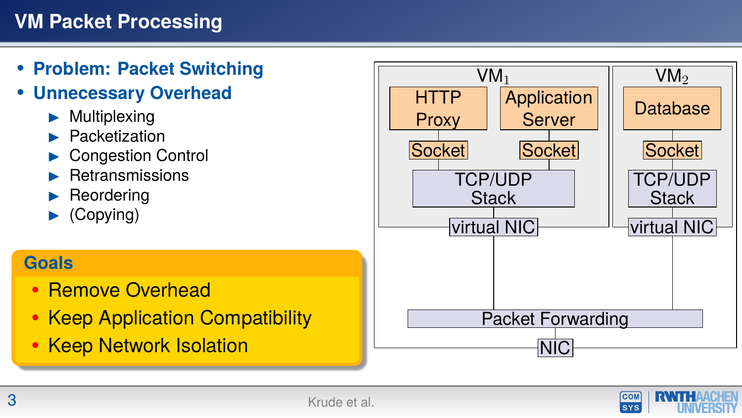- **• Problem: Packet Switching**
- **• Unnecessary Overhead**
	- **Multiplexing**
	- **Packetization**
	- **Congestion Control**
	- **Retransmissions**
	- **Reordering**
	- $\blacktriangleright$  (Copying)

#### **Goals**

- **•** Remove Overhead
- **•** Keep Application Compatibility
- 



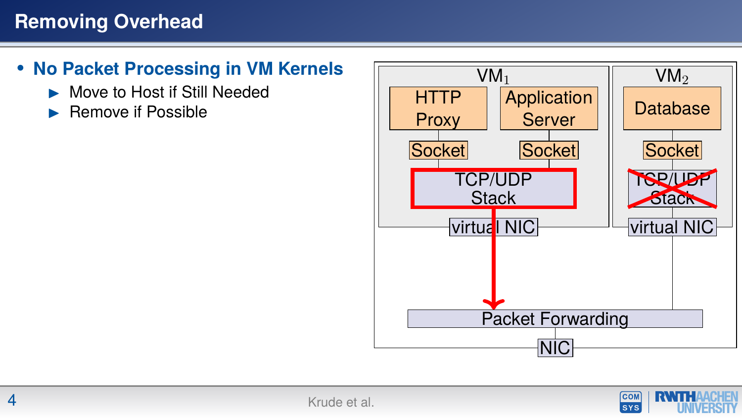- **• No Packet Processing in VM Kernels**
	- I Move to Host if Still Needed
	- I Remove if Possible



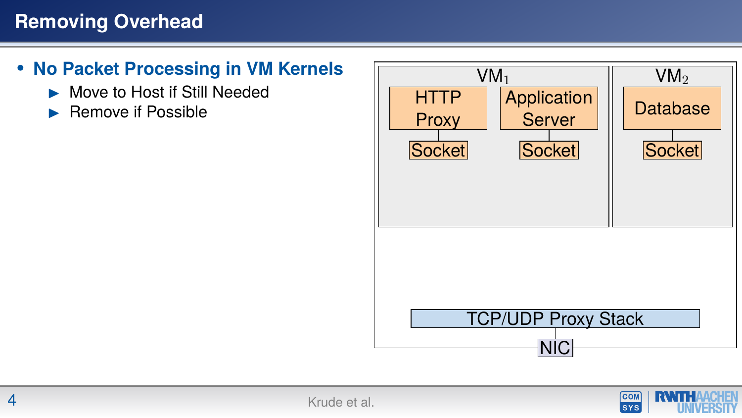- **• No Packet Processing in VM Kernels**
	- Move to Host if Still Needed
	- I Remove if Possible



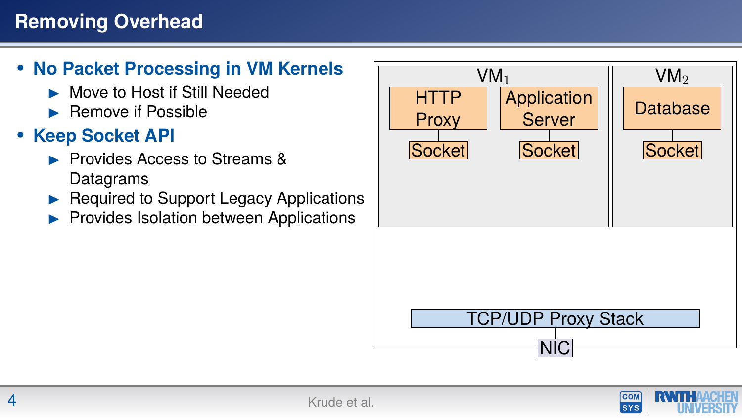#### **• No Packet Processing in VM Kernels**

- Move to Host if Still Needed
- $\blacktriangleright$  Remove if Possible

# **• Keep Socket API**

- **In Provides Access to Streams &** Datagrams
- Required to Support Legacy Applications
- Provides Isolation between Applications

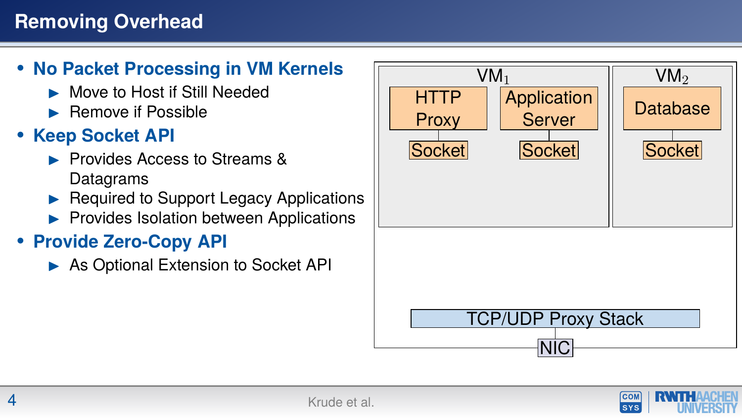#### **• No Packet Processing in VM Kernels**

- **INOVE TO HOST If Still Needed**
- $\blacktriangleright$  Remove if Possible

# **• Keep Socket API**

- **In Provides Access to Streams &** Datagrams
- Required to Support Legacy Applications
- $\blacktriangleright$  Provides Isolation between Applications

# **• Provide Zero-Copy API**

 $\triangleright$  As Optional Extension to Socket API



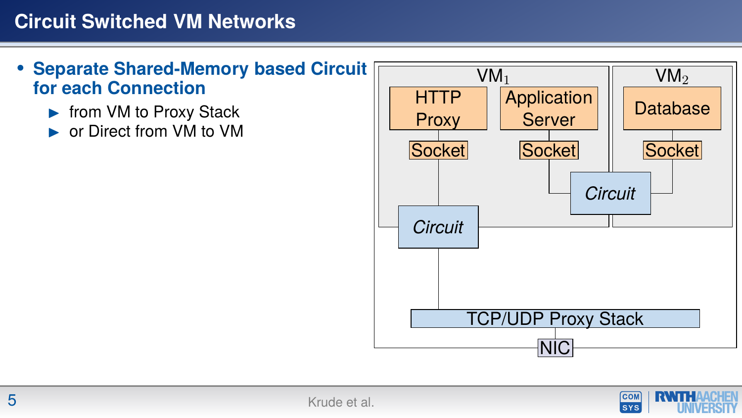#### **Circuit Switched VM Networks**

- **• Separate Shared-Memory based Circuit for each Connection**
	- $\blacktriangleright$  from VM to Proxy Stack
	- or Direct from VM to VM



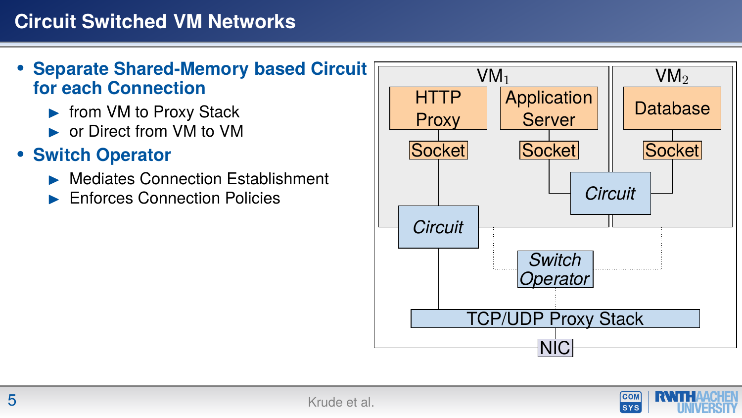#### **• Separate Shared-Memory based Circuit for each Connection**

- $\blacktriangleright$  from VM to Proxy Stack
- ► or Direct from VM to VM

#### **• Switch Operator**

- I Mediates Connection Establishment
- I Enforces Connection Policies



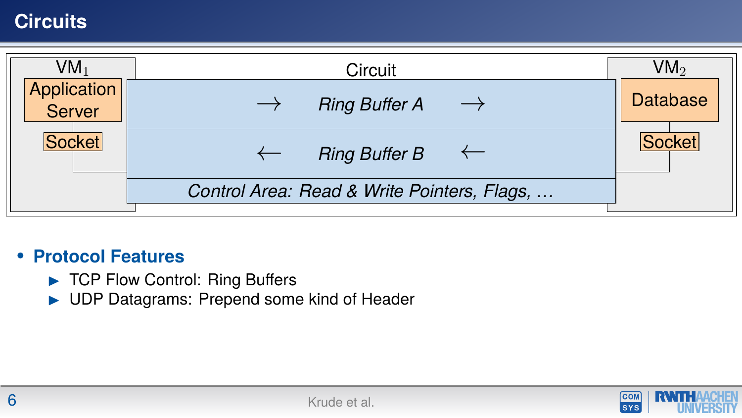#### **Circuits**



#### **• Protocol Features**

- $\blacktriangleright$  TCP Flow Control: Ring Buffers
- $\blacktriangleright$  UDP Datagrams: Prepend some kind of Header

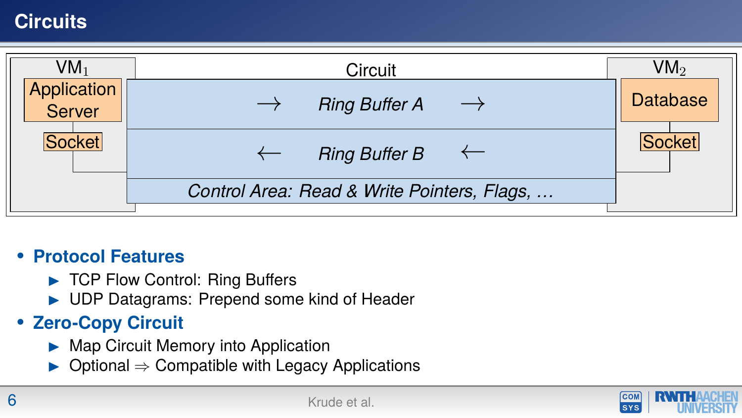# **Circuits**



#### **• Protocol Features**

- $\blacktriangleright$  TCP Flow Control: Ring Buffers
- ▶ UDP Datagrams: Prepend some kind of Header

#### **• Zero-Copy Circuit**

- $\blacktriangleright$  Map Circuit Memory into Application
- $\triangleright$  Optional  $\Rightarrow$  Compatible with Legacy Applications

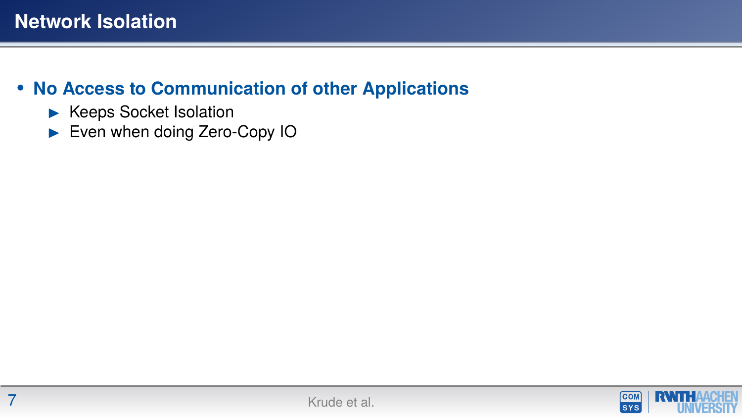#### **• No Access to Communication of other Applications**

- $\blacktriangleright$  Keeps Socket Isolation
- Even when doing Zero-Copy IO

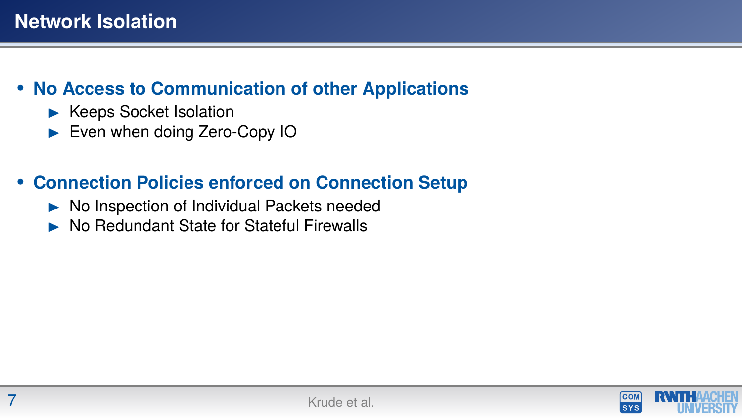#### **• No Access to Communication of other Applications**

- $\blacktriangleright$  Keeps Socket Isolation
- Even when doing Zero-Copy IO

#### **• Connection Policies enforced on Connection Setup**

- $\triangleright$  No Inspection of Individual Packets needed
- I No Redundant State for Stateful Firewalls

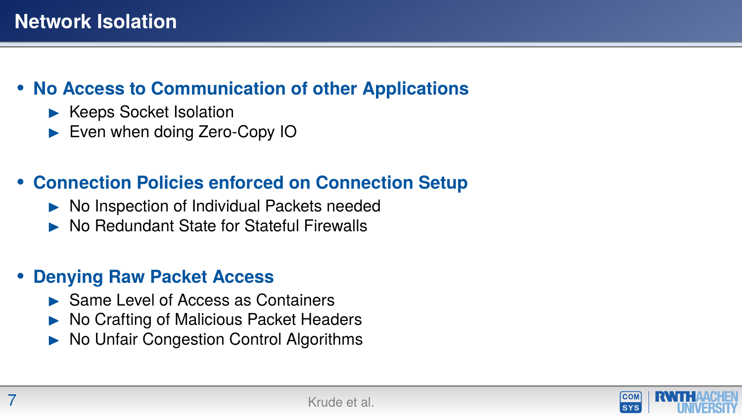#### **• No Access to Communication of other Applications**

- $\blacktriangleright$  Keeps Socket Isolation
- Even when doing Zero-Copy IO

#### **• Connection Policies enforced on Connection Setup**

- $\triangleright$  No Inspection of Individual Packets needed
- I No Redundant State for Stateful Firewalls

#### **• Denying Raw Packet Access**

- $\blacktriangleright$  Same Level of Access as Containers
- I No Crafting of Malicious Packet Headers
- I No Unfair Congestion Control Algorithms

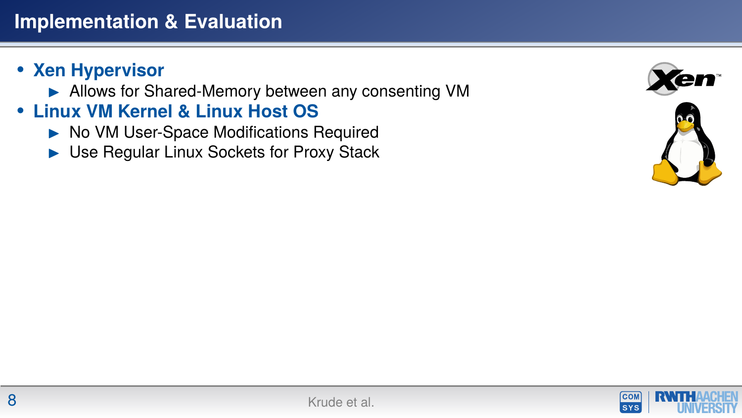- ▶ Allows for Shared-Memory between any consenting VM
- **• Linux VM Kernel & Linux Host OS**
	- $\triangleright$  No VM User-Space Modifications Required
	- $\blacktriangleright$  Use Regular Linux Sockets for Proxy Stack



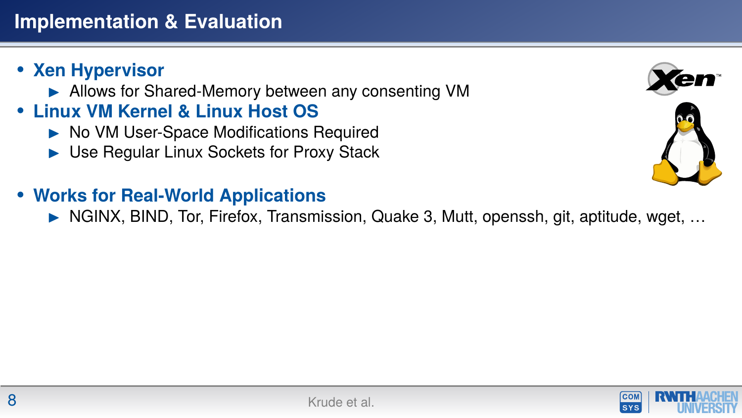- ▶ Allows for Shared-Memory between any consenting VM
- **• Linux VM Kernel & Linux Host OS**
	- ▶ No VM User-Space Modifications Required
	- $\blacktriangleright$  Use Regular Linux Sockets for Proxy Stack
- **• Works for Real-World Applications**

I NGINX, BIND, Tor, Firefox, Transmission, Quake 3, Mutt, openssh, git, aptitude, wget, …



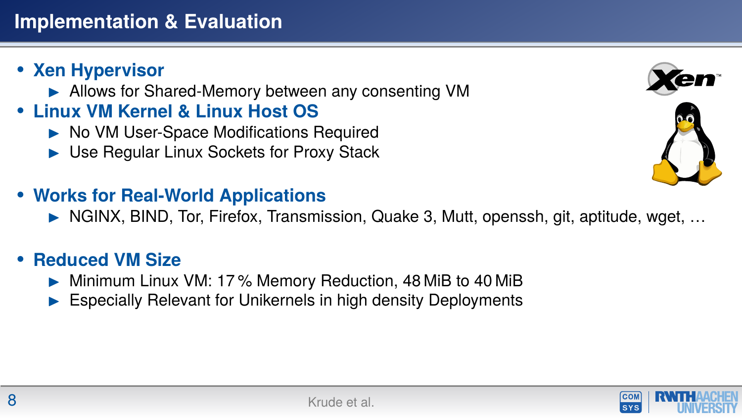- ▶ Allows for Shared-Memory between any consenting VM
- **• Linux VM Kernel & Linux Host OS**
	- ▶ No VM User-Space Modifications Required
	- $\blacktriangleright$  Use Regular Linux Sockets for Proxy Stack
- **• Works for Real-World Applications**
	- $\triangleright$  NGINX, BIND, Tor, Firefox, Transmission, Quake 3, Mutt, openssh, git, aptitude, wget, ...

#### **• Reduced VM Size**

- $\triangleright$  Minimum Linux VM: 17% Memory Reduction, 48 MiB to 40 MiB
- Especially Relevant for Unikernels in high density Deployments



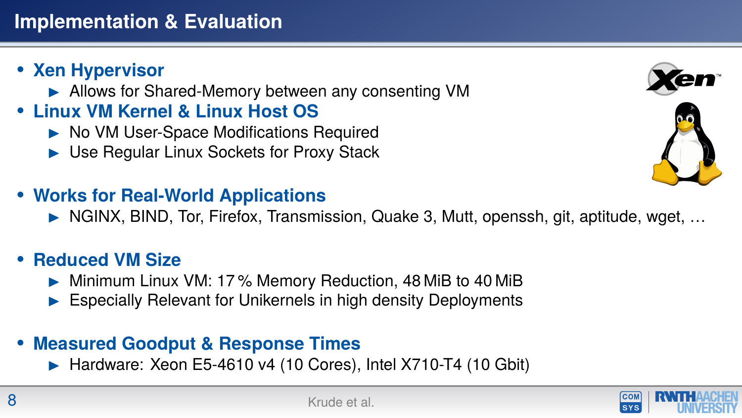- ▶ Allows for Shared-Memory between any consenting VM
- **• Linux VM Kernel & Linux Host OS**
	- ▶ No VM User-Space Modifications Required
	- $\blacktriangleright$  Use Regular Linux Sockets for Proxy Stack
- **• Works for Real-World Applications**
	- $\triangleright$  NGINX, BIND, Tor, Firefox, Transmission, Quake 3, Mutt, openssh, git, aptitude, wget, ...

#### **• Reduced VM Size**

- $\triangleright$  Minimum Linux VM: 17% Memory Reduction, 48 MiB to 40 MiB
- Especially Relevant for Unikernels in high density Deployments

#### **• Measured Goodput & Response Times**

 $\blacktriangleright$  Hardware: Xeon E5-4610 v4 (10 Cores), Intel X710-T4 (10 Gbit)





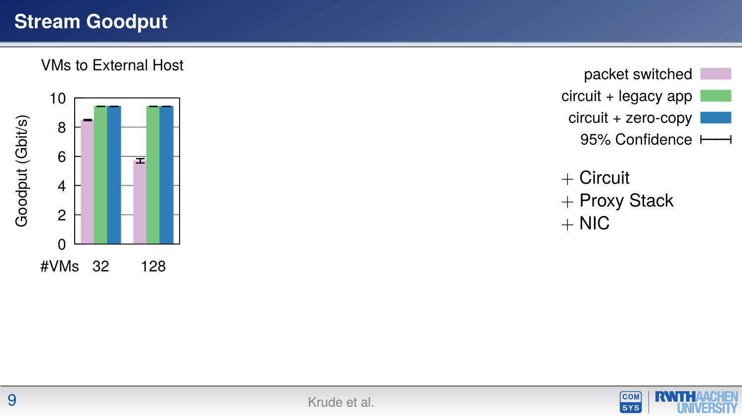# **Stream Goodput**

VMs to External Host



packet switched circuit + legacy app circuit + zero-copy 95% Confidence

 $+$  Circuit + Proxy Stack  $+$  NIC

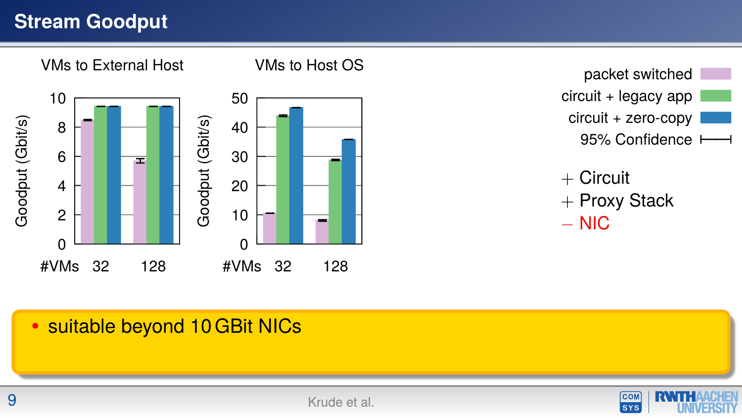# **Stream Goodput**



#### **•** suitable beyond 10 GBit NICs

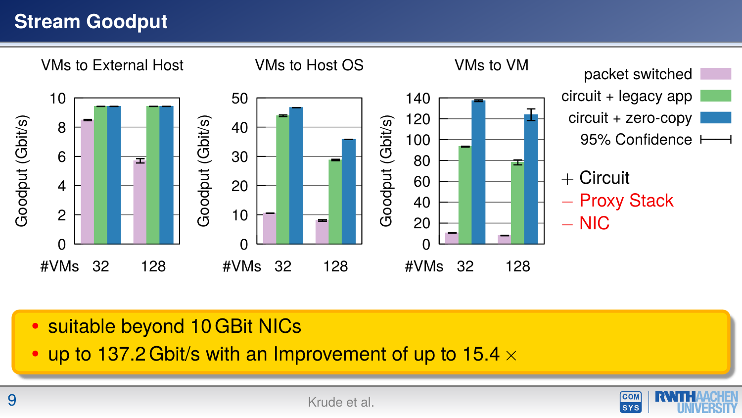# **Stream Goodput**



- **•** suitable beyond 10 GBit NICs
- **•** up to 137.2 Gbit/s with an Improvement of up to 15.4 ×

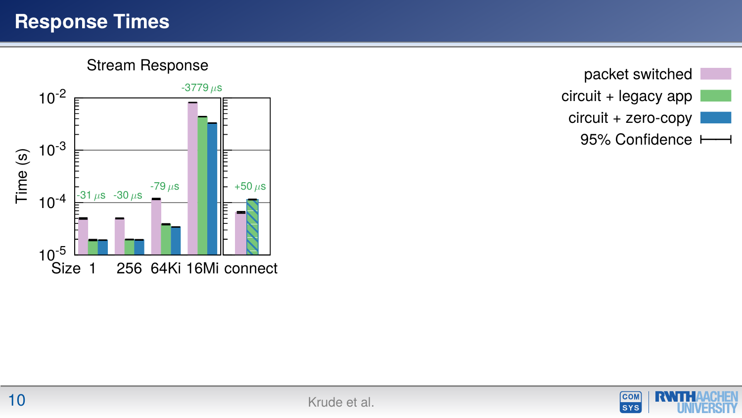#### **Response Times**

Stream Response







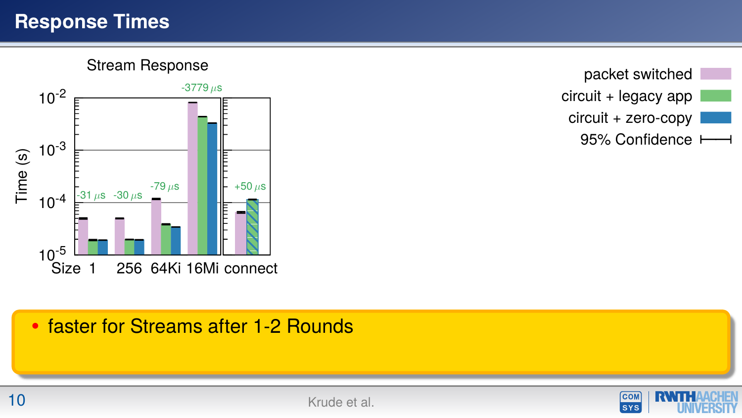#### **Response Times**

Stream Response



packet switched circuit + legacy app circuit + zero-copy 95% Confidence

#### **•** faster for Streams after 1-2 Rounds

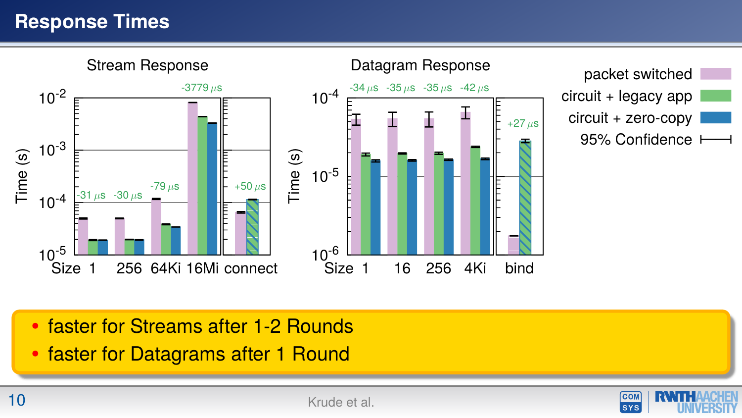# **Response Times**



- **•** faster for Streams after 1-2 Rounds
- **•** faster for Datagrams after 1 Round

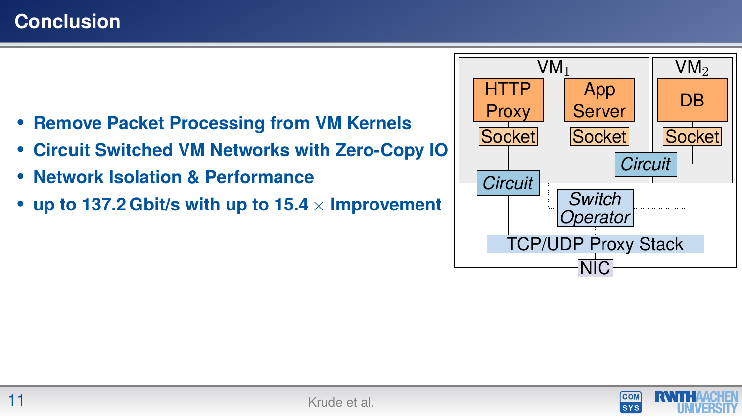- **• Remove Packet Processing from VM Kernels**
- **• Circuit Switched VM Networks with Zero-Copy IO**
- **• Network Isolation & Performance**
- **• up to 137.2 Gbit/s with up to 15.4** × **Improvement**



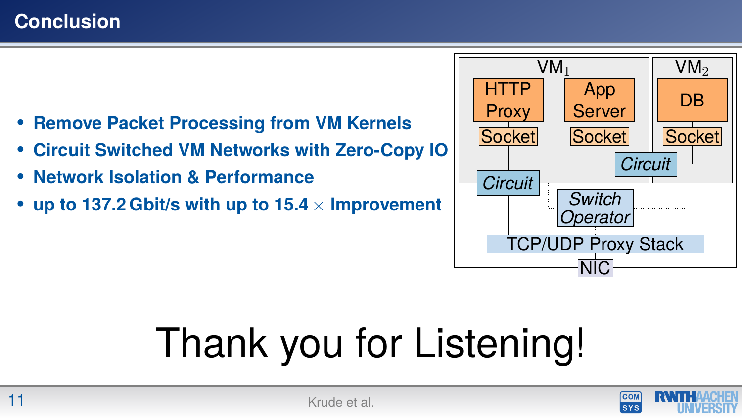- **• Remove Packet Processing from VM Kernels**
- **• Circuit Switched VM Networks with Zero-Copy IO**
- **• Network Isolation & Performance**
- **• up to 137.2 Gbit/s with up to 15.4** × **Improvement**



# Thank you for Listening!